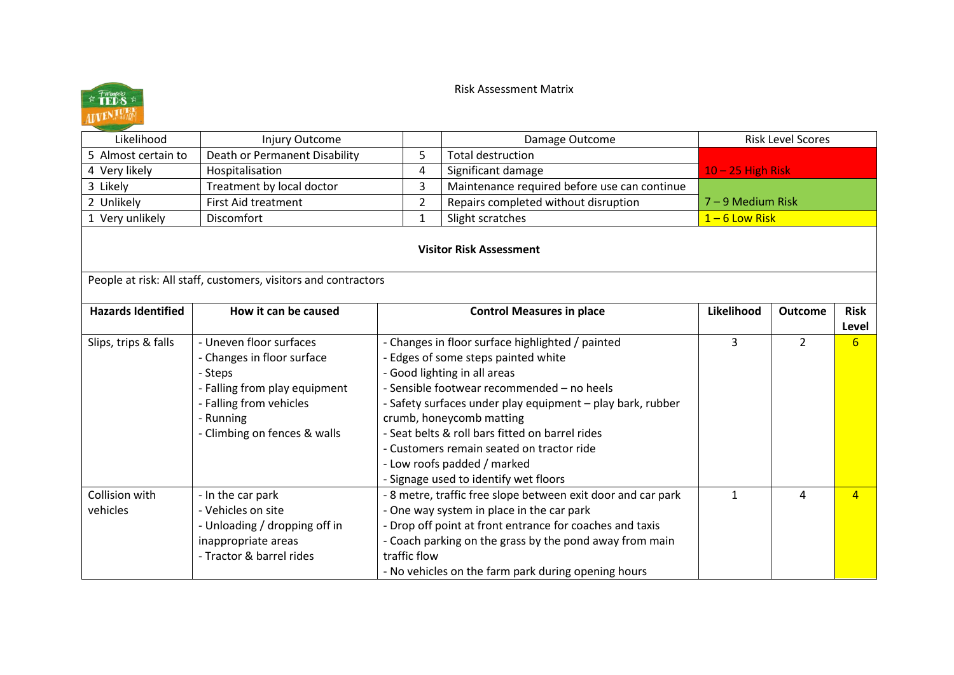## Risk Assessment Matrix



| Likelihood                 | Injury Outcome                                                                                                                                                            |                                                                                                                                                                                                                                                                                                                                                                                                                                         |                | Damage Outcome                                                                                                                                                                                                                                                                          | <b>Risk Level Scores</b> |                |                      |
|----------------------------|---------------------------------------------------------------------------------------------------------------------------------------------------------------------------|-----------------------------------------------------------------------------------------------------------------------------------------------------------------------------------------------------------------------------------------------------------------------------------------------------------------------------------------------------------------------------------------------------------------------------------------|----------------|-----------------------------------------------------------------------------------------------------------------------------------------------------------------------------------------------------------------------------------------------------------------------------------------|--------------------------|----------------|----------------------|
| 5 Almost certain to        | Death or Permanent Disability                                                                                                                                             |                                                                                                                                                                                                                                                                                                                                                                                                                                         | 5              | <b>Total destruction</b>                                                                                                                                                                                                                                                                |                          |                |                      |
| 4 Very likely              | Hospitalisation                                                                                                                                                           |                                                                                                                                                                                                                                                                                                                                                                                                                                         | 4              | Significant damage                                                                                                                                                                                                                                                                      | $10 - 25$ High Risk      |                |                      |
| 3 Likely                   | Treatment by local doctor                                                                                                                                                 |                                                                                                                                                                                                                                                                                                                                                                                                                                         | 3              | Maintenance required before use can continue                                                                                                                                                                                                                                            |                          |                |                      |
| 2 Unlikely                 | <b>First Aid treatment</b>                                                                                                                                                |                                                                                                                                                                                                                                                                                                                                                                                                                                         | $\overline{2}$ | Repairs completed without disruption                                                                                                                                                                                                                                                    | 7 - 9 Medium Risk        |                |                      |
| 1 Very unlikely            | Discomfort                                                                                                                                                                |                                                                                                                                                                                                                                                                                                                                                                                                                                         | $\mathbf{1}$   | Slight scratches                                                                                                                                                                                                                                                                        | $1 - 6$ Low Risk         |                |                      |
|                            | People at risk: All staff, customers, visitors and contractors                                                                                                            |                                                                                                                                                                                                                                                                                                                                                                                                                                         |                | <b>Visitor Risk Assessment</b>                                                                                                                                                                                                                                                          |                          |                |                      |
| <b>Hazards Identified</b>  | How it can be caused                                                                                                                                                      |                                                                                                                                                                                                                                                                                                                                                                                                                                         |                | <b>Control Measures in place</b>                                                                                                                                                                                                                                                        | Likelihood               | <b>Outcome</b> | <b>Risk</b><br>Level |
| Slips, trips & falls       | - Uneven floor surfaces<br>- Changes in floor surface<br>- Steps<br>- Falling from play equipment<br>- Falling from vehicles<br>- Running<br>- Climbing on fences & walls | - Changes in floor surface highlighted / painted<br>- Edges of some steps painted white<br>- Good lighting in all areas<br>- Sensible footwear recommended - no heels<br>- Safety surfaces under play equipment - play bark, rubber<br>crumb, honeycomb matting<br>- Seat belts & roll bars fitted on barrel rides<br>- Customers remain seated on tractor ride<br>- Low roofs padded / marked<br>- Signage used to identify wet floors |                |                                                                                                                                                                                                                                                                                         | 3                        | $\overline{2}$ | 6                    |
| Collision with<br>vehicles | - In the car park<br>- Vehicles on site<br>- Unloading / dropping off in<br>inappropriate areas<br>- Tractor & barrel rides                                               | traffic flow                                                                                                                                                                                                                                                                                                                                                                                                                            |                | - 8 metre, traffic free slope between exit door and car park<br>- One way system in place in the car park<br>- Drop off point at front entrance for coaches and taxis<br>- Coach parking on the grass by the pond away from main<br>- No vehicles on the farm park during opening hours | $\mathbf{1}$             | 4              | $\overline{4}$       |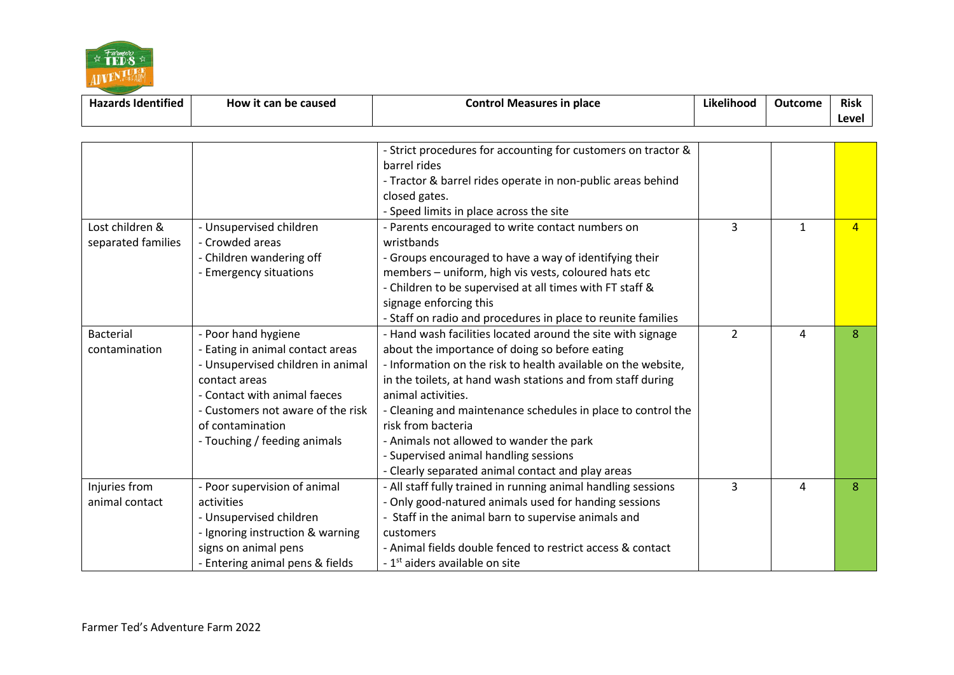

| $\ddotsc$<br><b>Hazards Identified</b> | How it<br>t can be caused | ∟ontrc<br>place<br>l Measures<br>es in | $\cdots$<br>Likelihoog | Outcome | Risk  |
|----------------------------------------|---------------------------|----------------------------------------|------------------------|---------|-------|
|                                        |                           |                                        |                        |         | Level |

|                    |                                   | - Strict procedures for accounting for customers on tractor & |                |              |                |
|--------------------|-----------------------------------|---------------------------------------------------------------|----------------|--------------|----------------|
|                    |                                   | barrel rides                                                  |                |              |                |
|                    |                                   | - Tractor & barrel rides operate in non-public areas behind   |                |              |                |
|                    |                                   | closed gates.                                                 |                |              |                |
|                    |                                   | - Speed limits in place across the site                       |                |              |                |
| Lost children &    | - Unsupervised children           | - Parents encouraged to write contact numbers on              | 3              | $\mathbf{1}$ | $\overline{A}$ |
| separated families | - Crowded areas                   | wristbands                                                    |                |              |                |
|                    | - Children wandering off          | - Groups encouraged to have a way of identifying their        |                |              |                |
|                    | - Emergency situations            | members - uniform, high vis vests, coloured hats etc          |                |              |                |
|                    |                                   | - Children to be supervised at all times with FT staff &      |                |              |                |
|                    |                                   | signage enforcing this                                        |                |              |                |
|                    |                                   | - Staff on radio and procedures in place to reunite families  |                |              |                |
| <b>Bacterial</b>   | - Poor hand hygiene               | - Hand wash facilities located around the site with signage   | $\overline{2}$ | 4            | 8              |
| contamination      | - Eating in animal contact areas  | about the importance of doing so before eating                |                |              |                |
|                    | - Unsupervised children in animal | - Information on the risk to health available on the website, |                |              |                |
|                    | contact areas                     | in the toilets, at hand wash stations and from staff during   |                |              |                |
|                    | - Contact with animal faeces      | animal activities.                                            |                |              |                |
|                    | - Customers not aware of the risk | - Cleaning and maintenance schedules in place to control the  |                |              |                |
|                    | of contamination                  | risk from bacteria                                            |                |              |                |
|                    | - Touching / feeding animals      | - Animals not allowed to wander the park                      |                |              |                |
|                    |                                   | - Supervised animal handling sessions                         |                |              |                |
|                    |                                   | - Clearly separated animal contact and play areas             |                |              |                |
| Injuries from      | - Poor supervision of animal      | - All staff fully trained in running animal handling sessions | 3              | 4            | 8              |
| animal contact     | activities                        | - Only good-natured animals used for handing sessions         |                |              |                |
|                    | - Unsupervised children           | - Staff in the animal barn to supervise animals and           |                |              |                |
|                    | - Ignoring instruction & warning  | customers                                                     |                |              |                |
|                    | signs on animal pens              | - Animal fields double fenced to restrict access & contact    |                |              |                |
|                    | - Entering animal pens & fields   | - 1 <sup>st</sup> aiders available on site                    |                |              |                |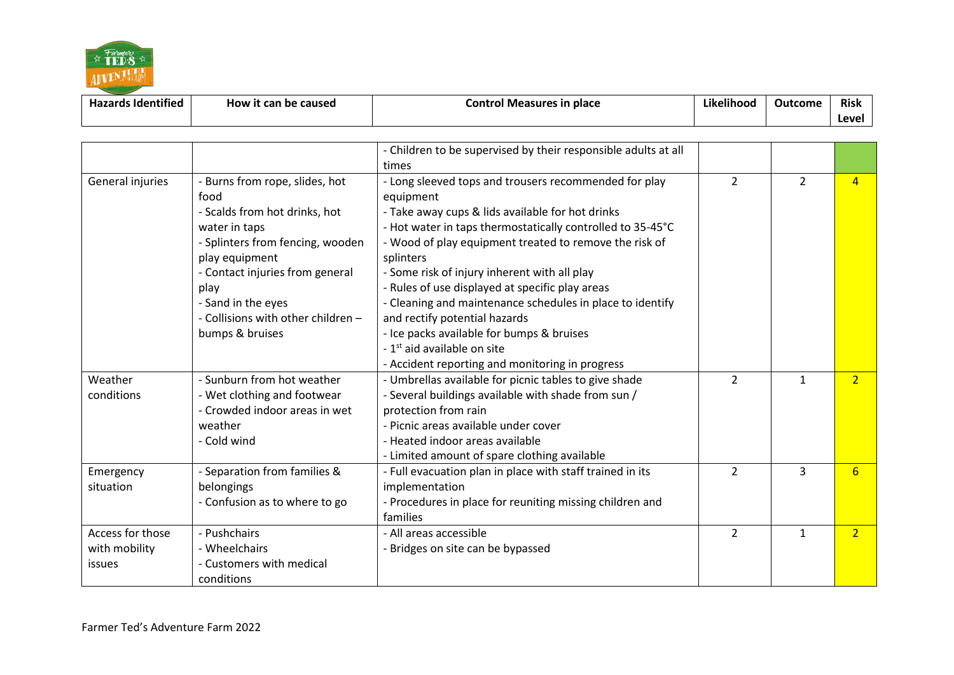

| <b>Hazards Identified</b> | How it can be caused | Control Measures in place | .<br>.<br>Likelihood | Outcome | <b>Risk</b> |
|---------------------------|----------------------|---------------------------|----------------------|---------|-------------|
|                           |                      |                           |                      |         | Level       |

|                  |                                    | - Children to be supervised by their responsible adults at all |                |                |                  |
|------------------|------------------------------------|----------------------------------------------------------------|----------------|----------------|------------------|
|                  |                                    | times                                                          |                |                |                  |
| General injuries | - Burns from rope, slides, hot     | - Long sleeved tops and trousers recommended for play          | $\overline{2}$ | $\overline{2}$ | $\overline{a}$   |
|                  | food                               | equipment                                                      |                |                |                  |
|                  | - Scalds from hot drinks, hot      | - Take away cups & lids available for hot drinks               |                |                |                  |
|                  | water in taps                      | - Hot water in taps thermostatically controlled to 35-45°C     |                |                |                  |
|                  | - Splinters from fencing, wooden   | - Wood of play equipment treated to remove the risk of         |                |                |                  |
|                  | play equipment                     | splinters                                                      |                |                |                  |
|                  | - Contact injuries from general    | - Some risk of injury inherent with all play                   |                |                |                  |
|                  | play                               | - Rules of use displayed at specific play areas                |                |                |                  |
|                  | - Sand in the eyes                 | - Cleaning and maintenance schedules in place to identify      |                |                |                  |
|                  | - Collisions with other children - | and rectify potential hazards                                  |                |                |                  |
|                  | bumps & bruises                    | - Ice packs available for bumps & bruises                      |                |                |                  |
|                  |                                    | - 1 <sup>st</sup> aid available on site                        |                |                |                  |
|                  |                                    | - Accident reporting and monitoring in progress                |                |                |                  |
| Weather          | - Sunburn from hot weather         | - Umbrellas available for picnic tables to give shade          | $\overline{2}$ | $\mathbf{1}$   | $\overline{2}$   |
| conditions       | - Wet clothing and footwear        | - Several buildings available with shade from sun /            |                |                |                  |
|                  | - Crowded indoor areas in wet      | protection from rain                                           |                |                |                  |
|                  | weather                            | - Picnic areas available under cover                           |                |                |                  |
|                  | - Cold wind                        | - Heated indoor areas available                                |                |                |                  |
|                  |                                    | - Limited amount of spare clothing available                   |                |                |                  |
| Emergency        | - Separation from families &       | - Full evacuation plan in place with staff trained in its      | $\overline{2}$ | 3              | $6 \overline{6}$ |
| situation        | belongings                         | implementation                                                 |                |                |                  |
|                  | - Confusion as to where to go      | - Procedures in place for reuniting missing children and       |                |                |                  |
|                  |                                    | families                                                       |                |                |                  |
| Access for those | - Pushchairs                       | - All areas accessible                                         | $\overline{2}$ | $\mathbf{1}$   | $\overline{2}$   |
| with mobility    | - Wheelchairs                      | - Bridges on site can be bypassed                              |                |                |                  |
| issues           | - Customers with medical           |                                                                |                |                |                  |
|                  | conditions                         |                                                                |                |                |                  |